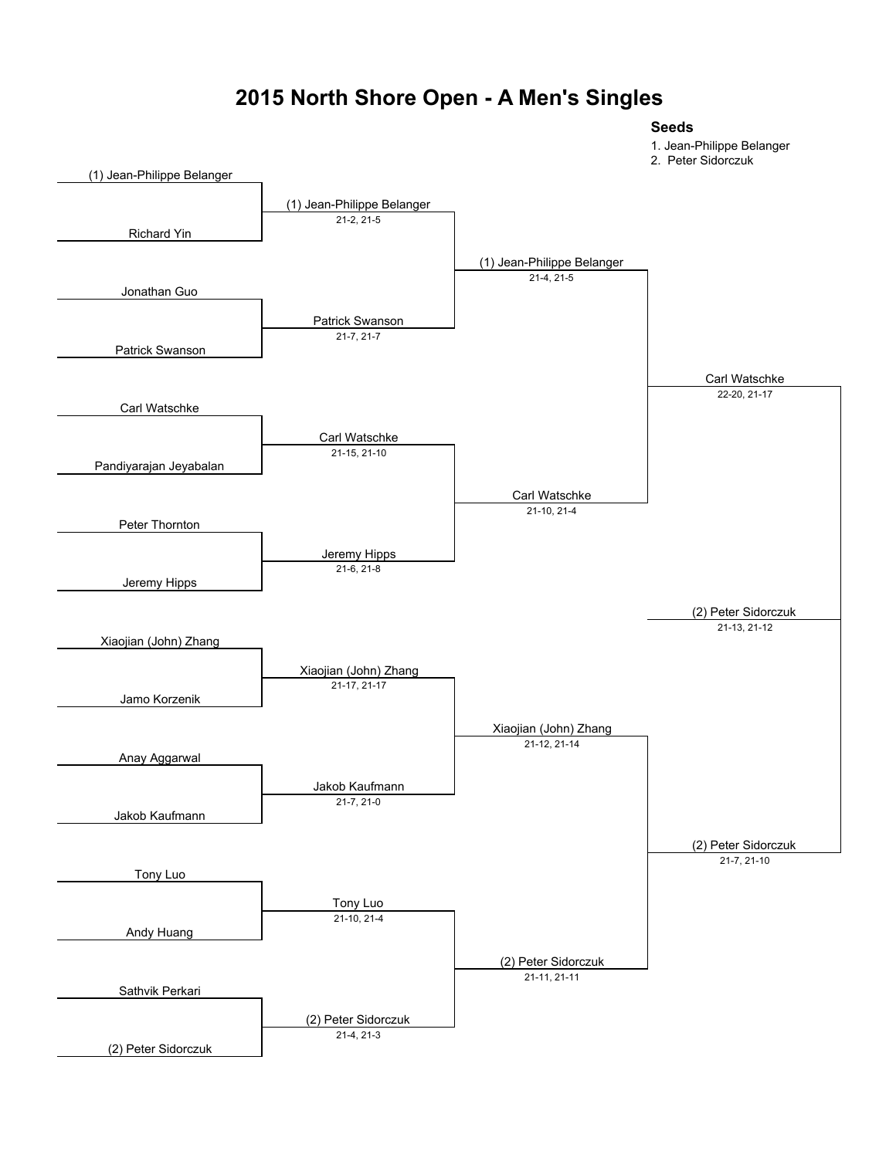#### **2015 North Shore Open - A Men's Singles**

#### **Seeds**

- 1. Jean-Philippe Belanger
- 2. Peter Sidorczuk

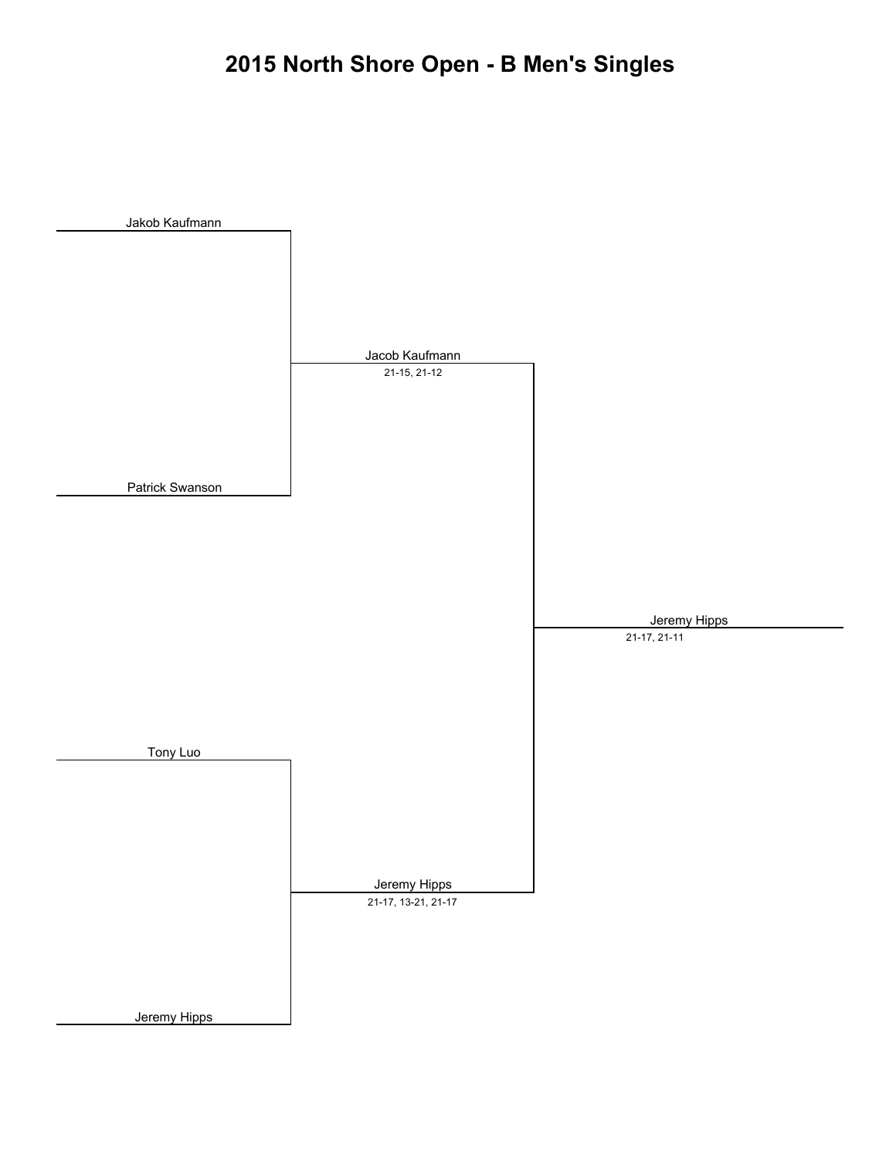# **2015 North Shore Open - B Men's Singles**

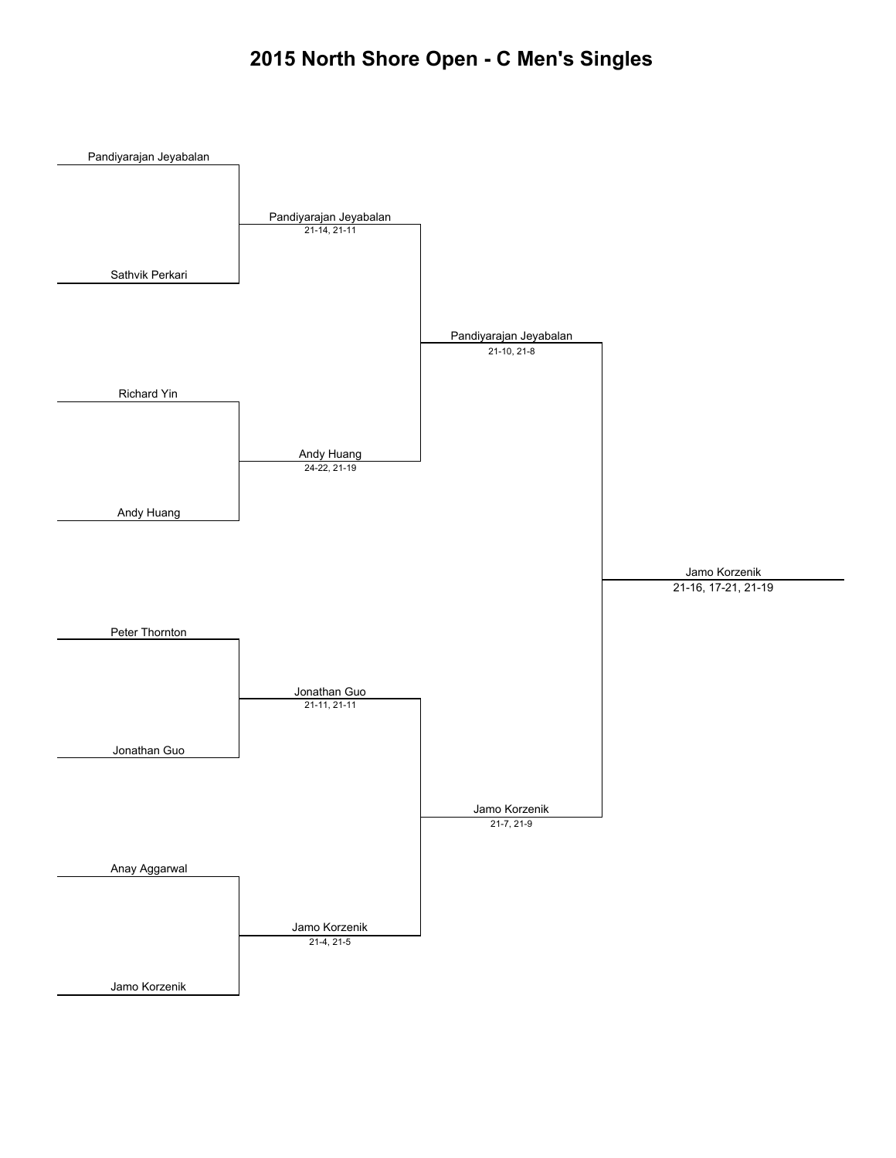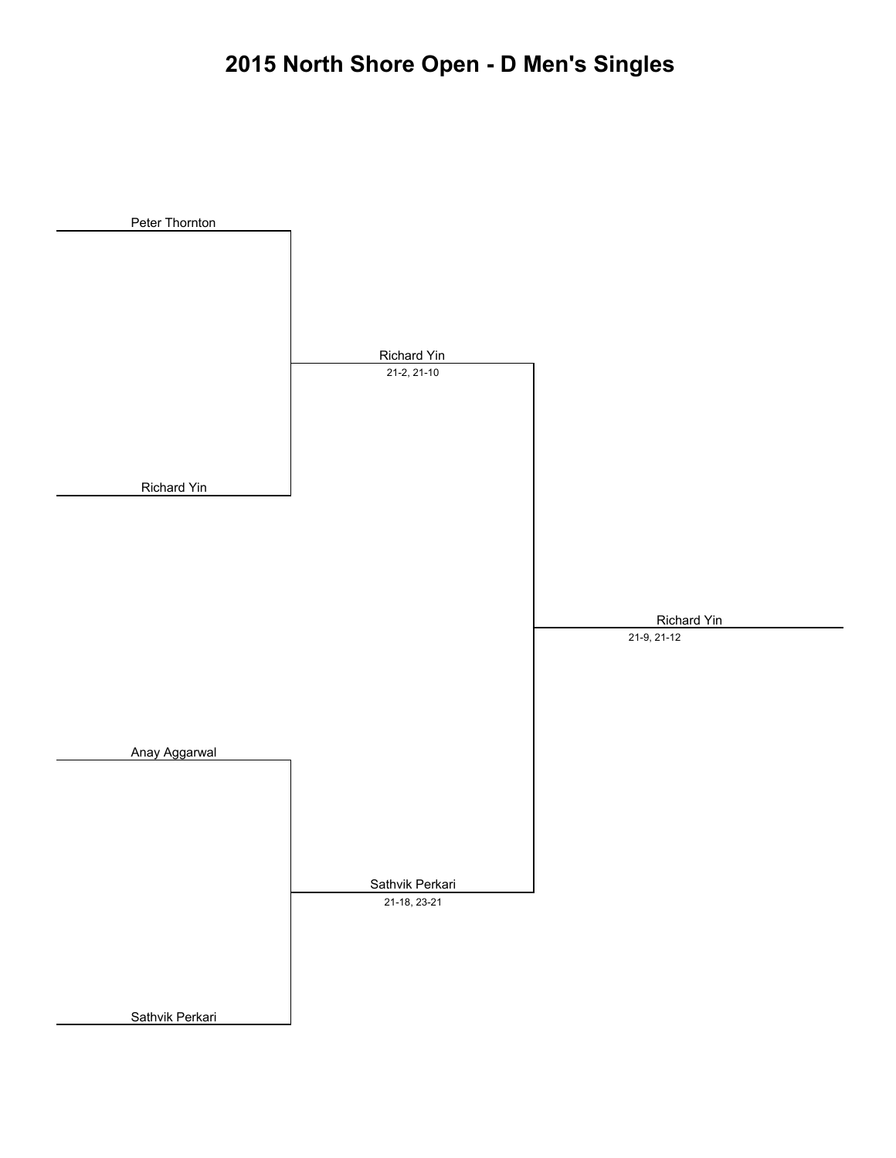# **2015 North Shore Open - D Men's Singles**

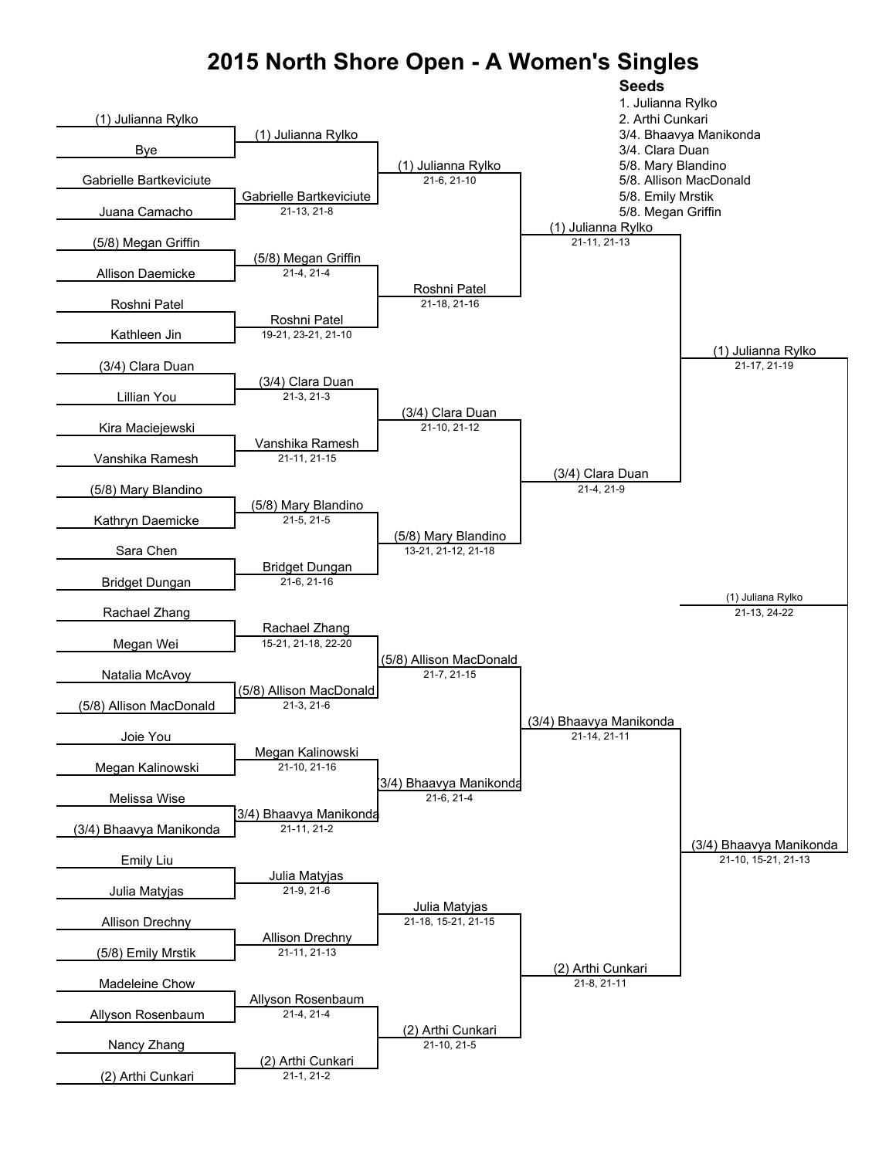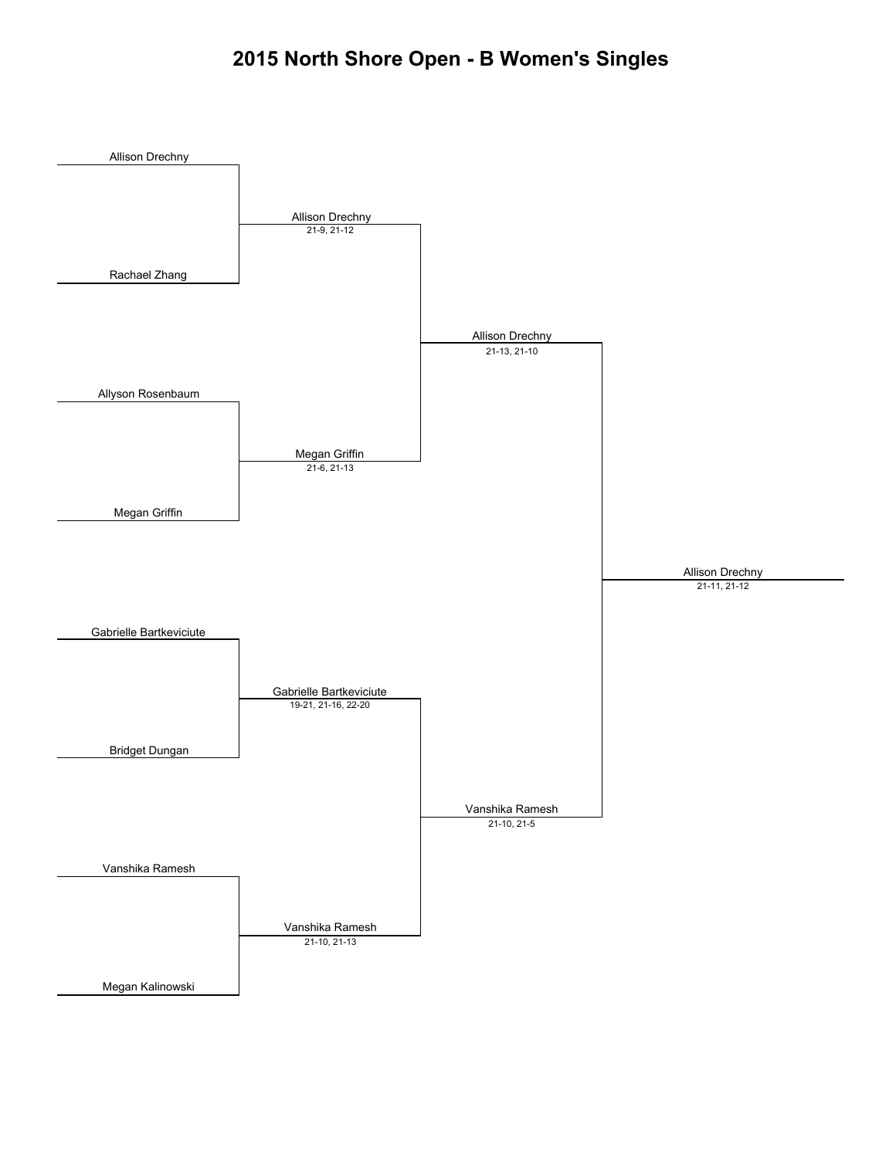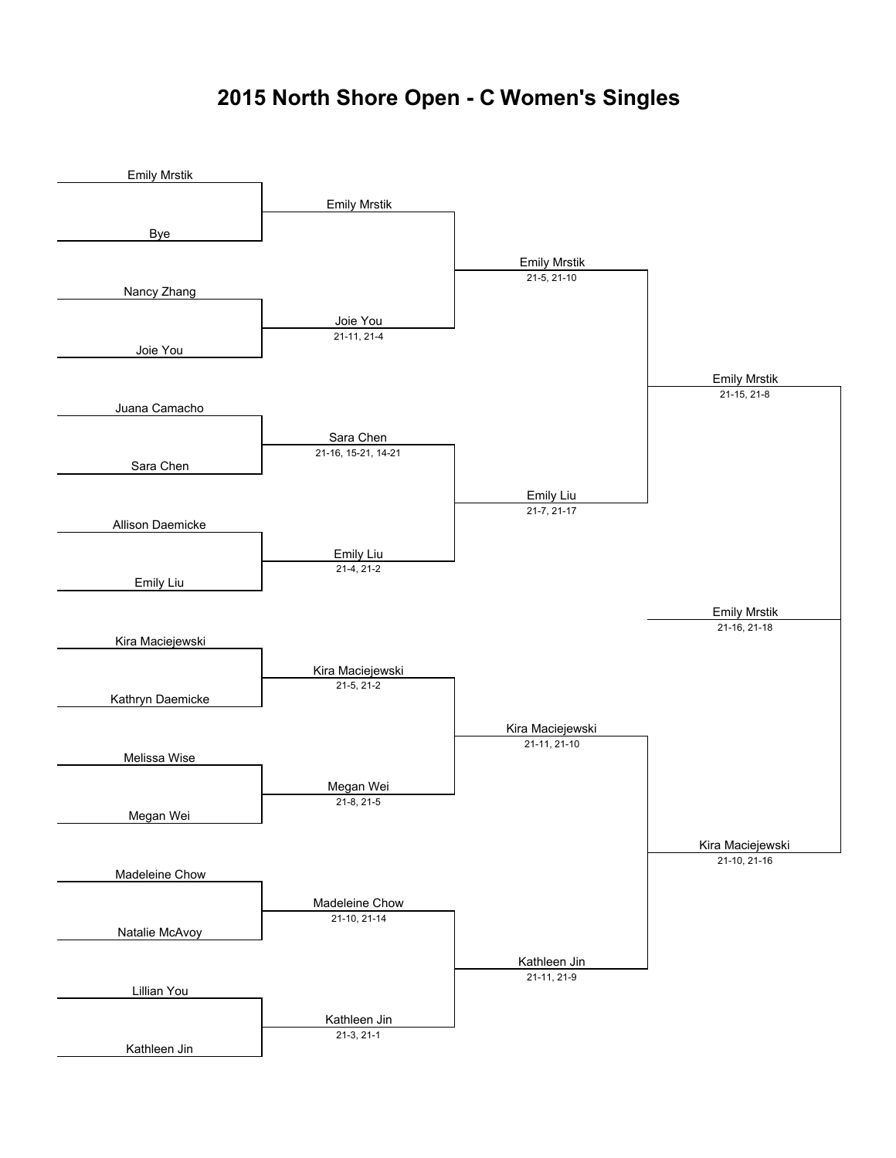#### **2015 North Shore Open - C Women's Singles**

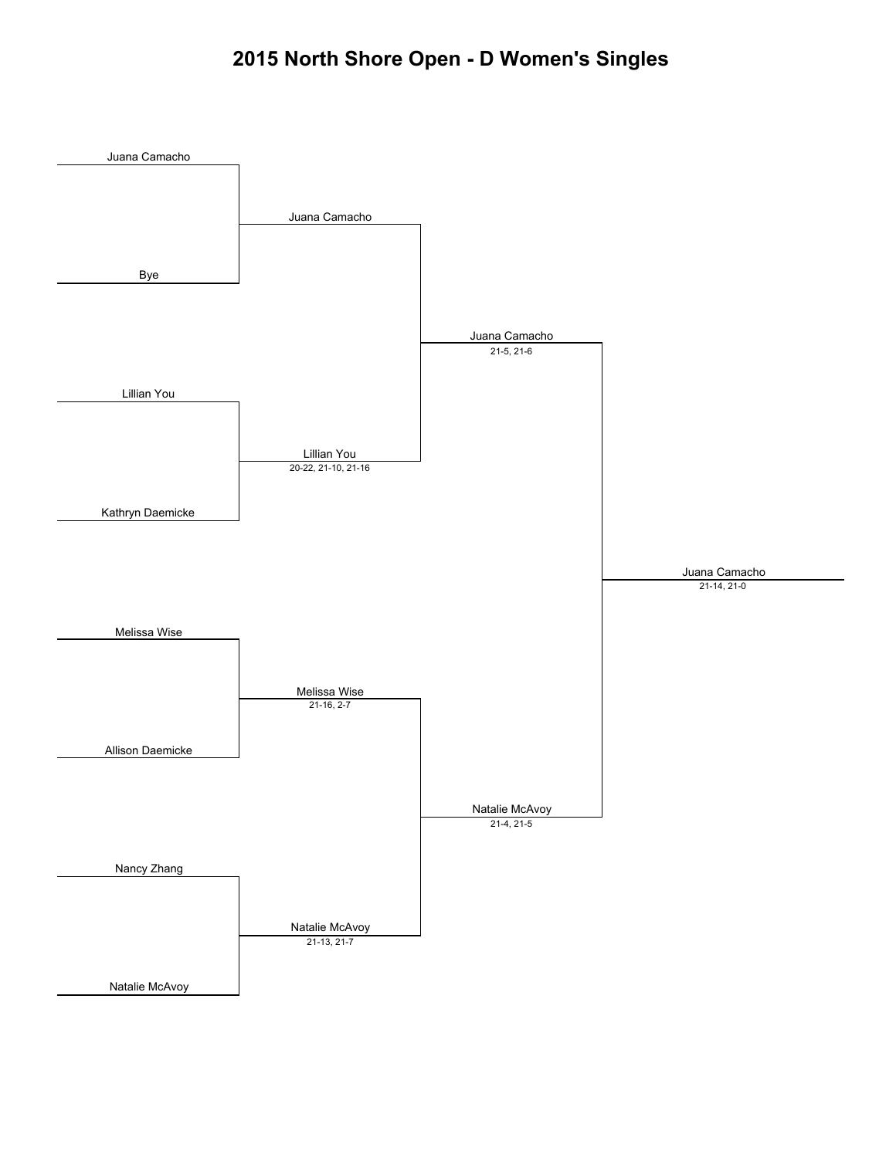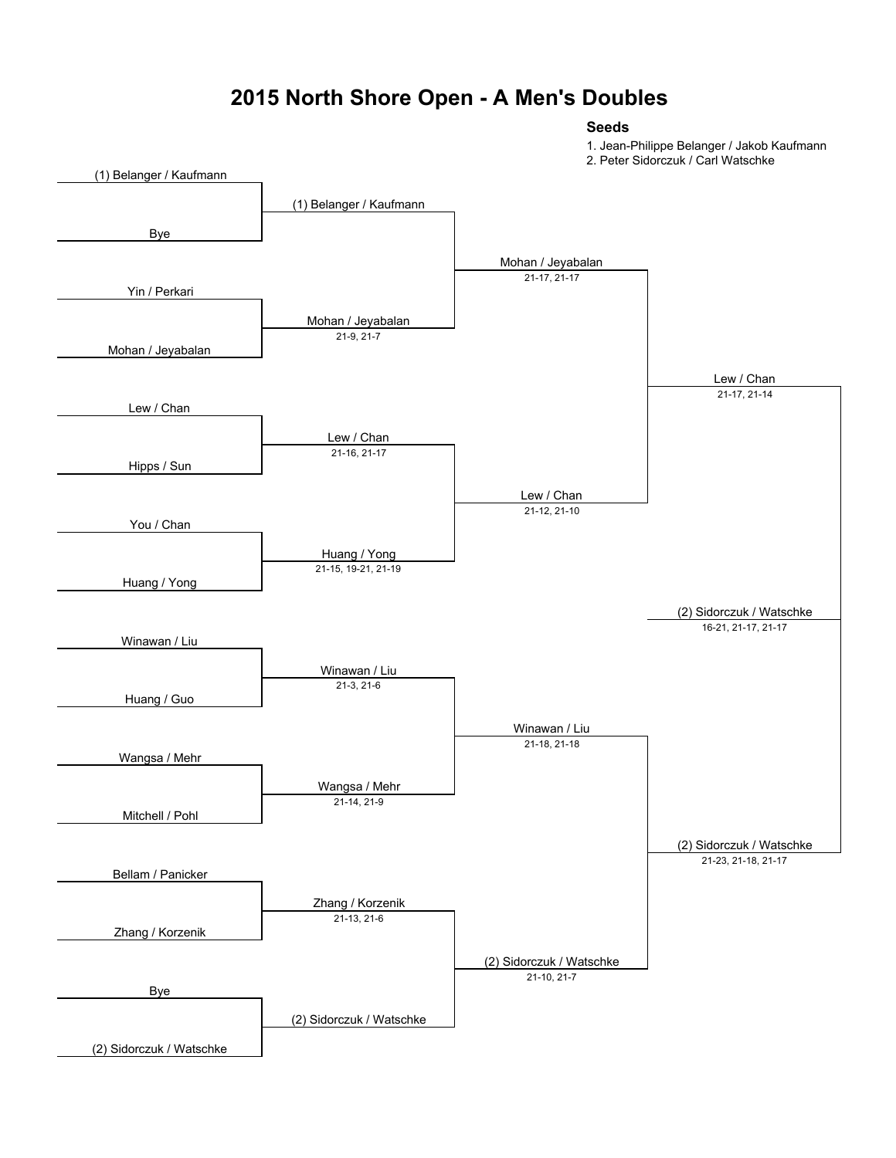#### **2015 North Shore Open - A Men's Doubles**

#### **Seeds**

1. Jean-Philippe Belanger / Jakob Kaufmann

2. Peter Sidorczuk / Carl Watschke

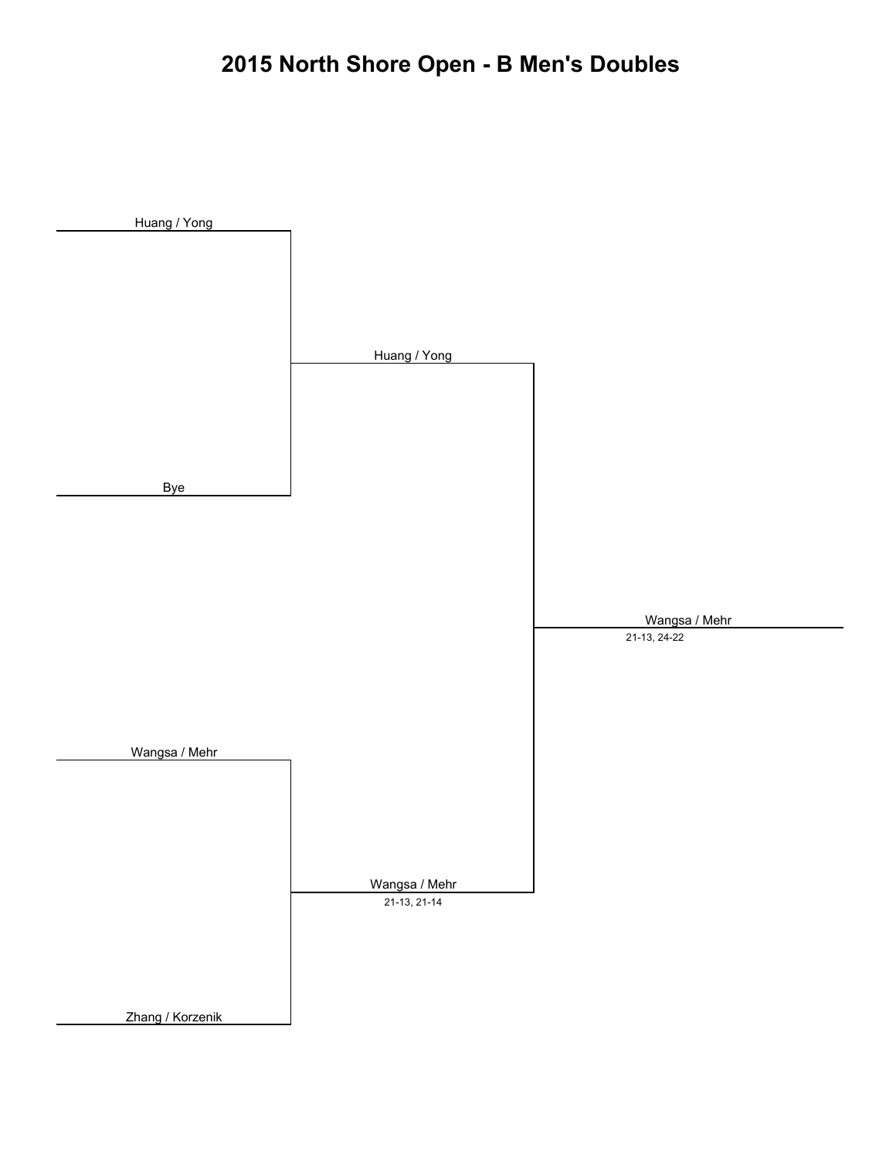# **2015 North Shore Open - B Men's Doubles**

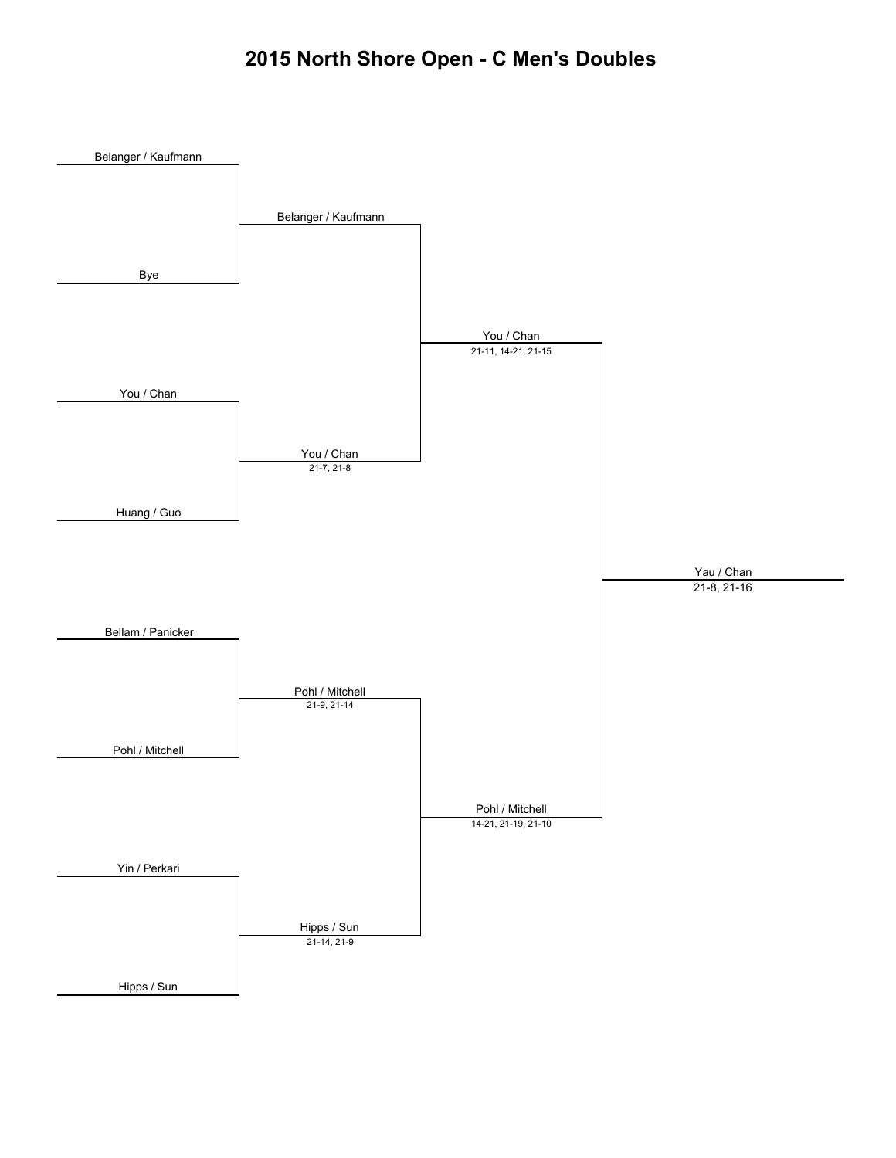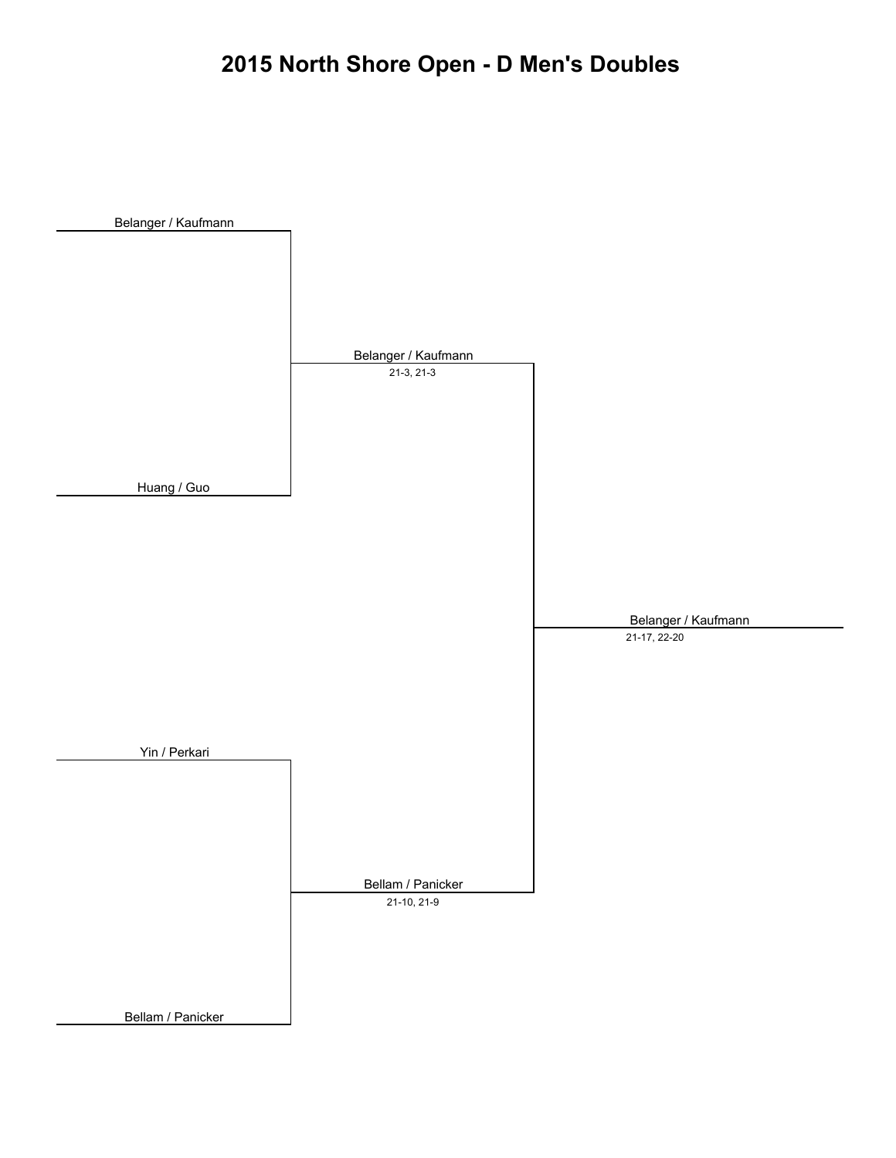# **2015 North Shore Open - D Men's Doubles**

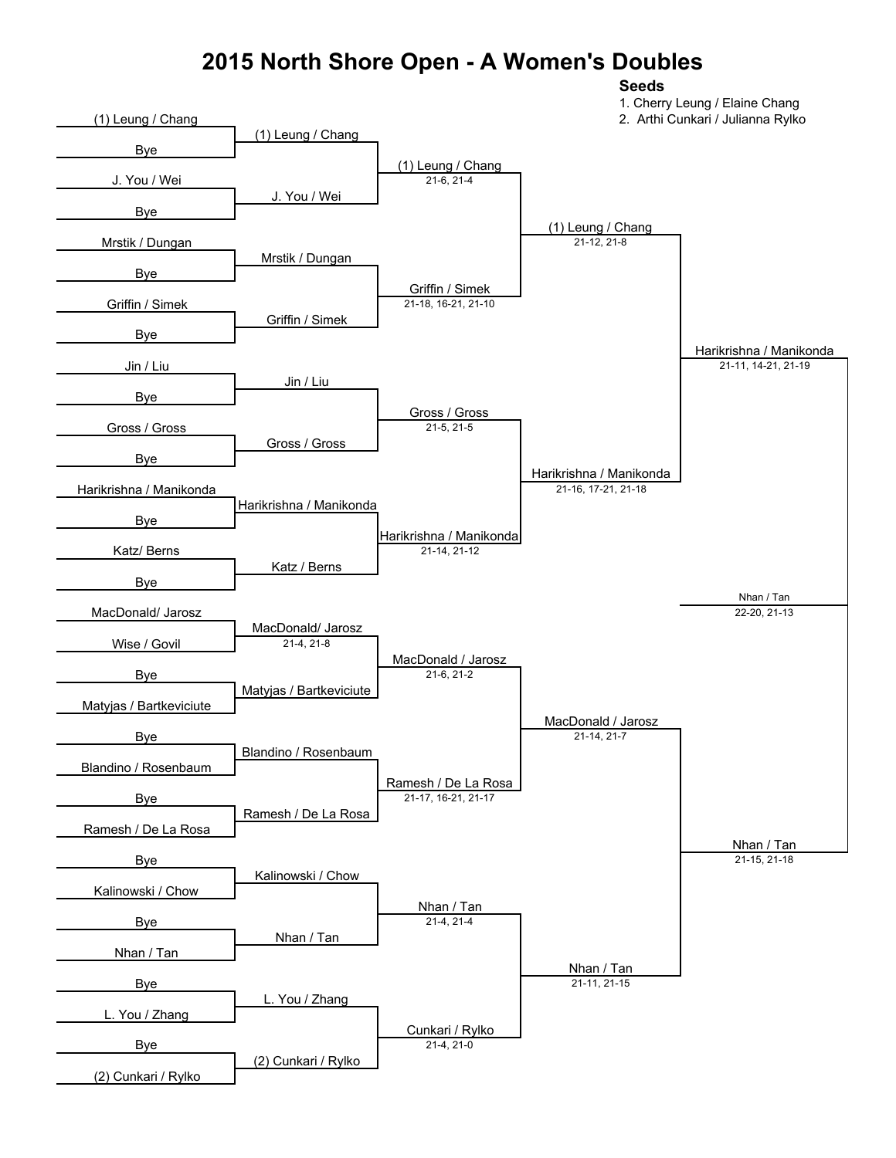#### **2015 North Shore Open - A Women's Doubles**

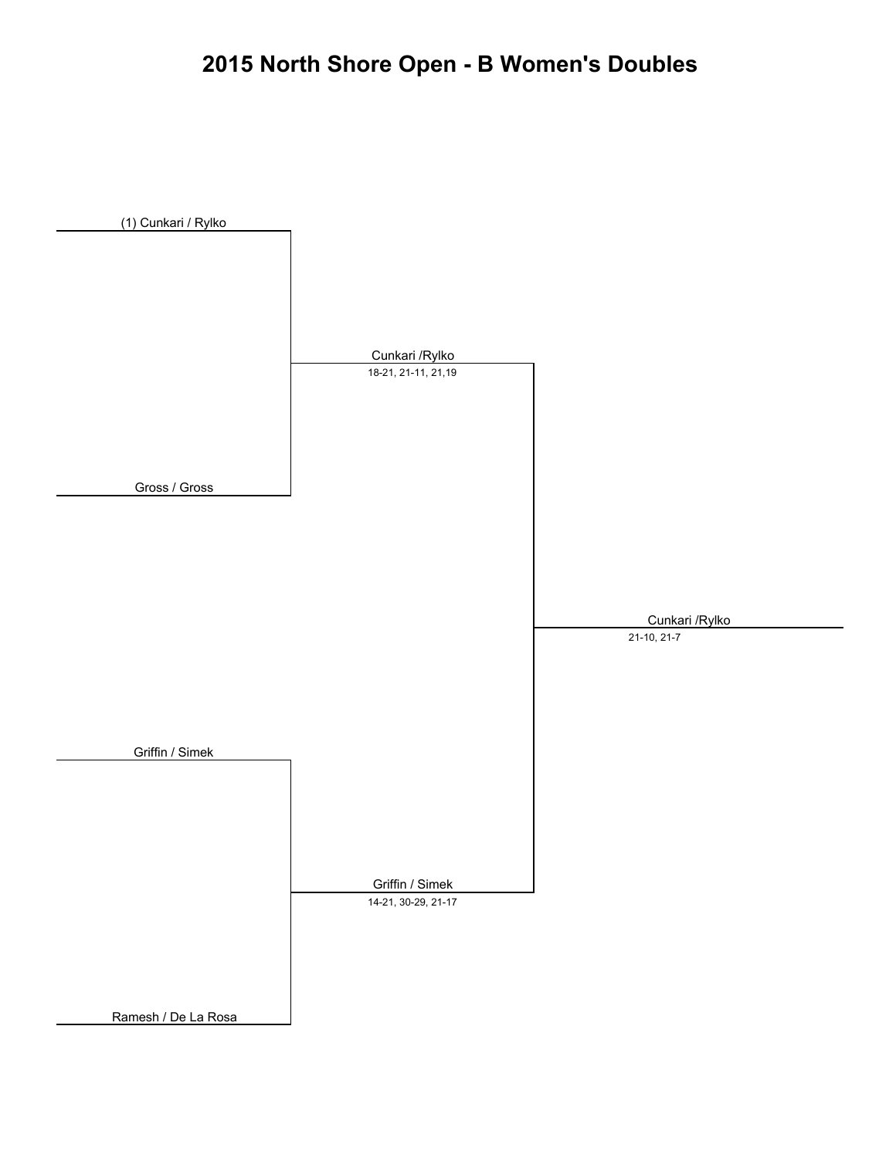# **2015 North Shore Open - B Women's Doubles**

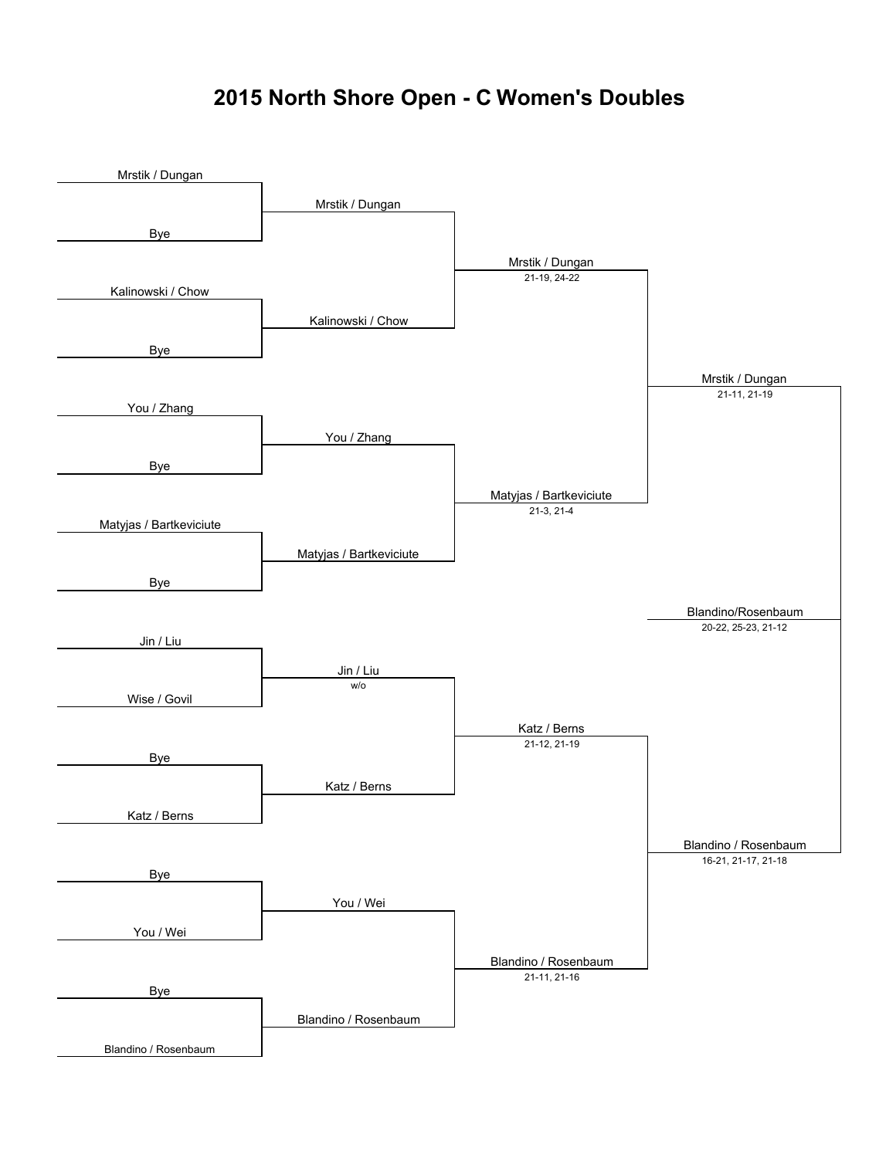#### **2015 North Shore Open - C Women's Doubles**

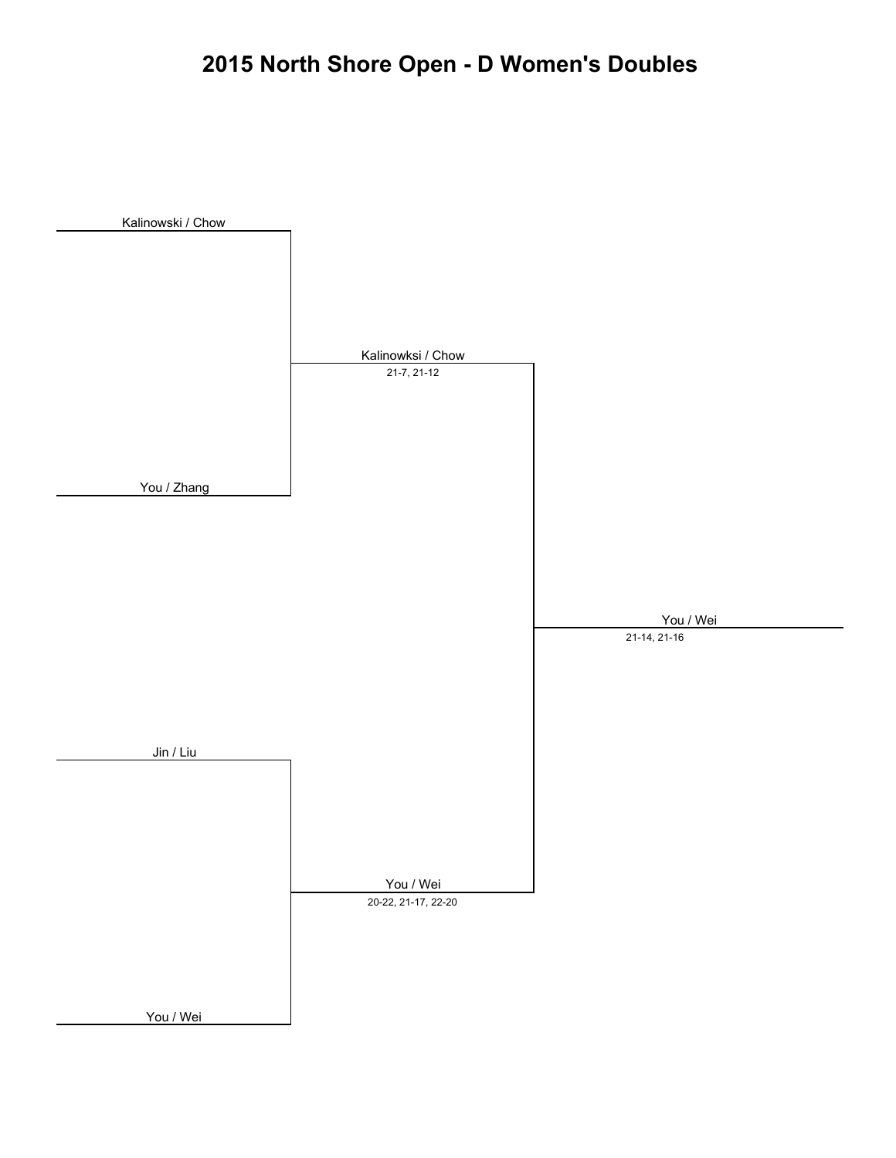# **2015 North Shore Open - D Women's Doubles**

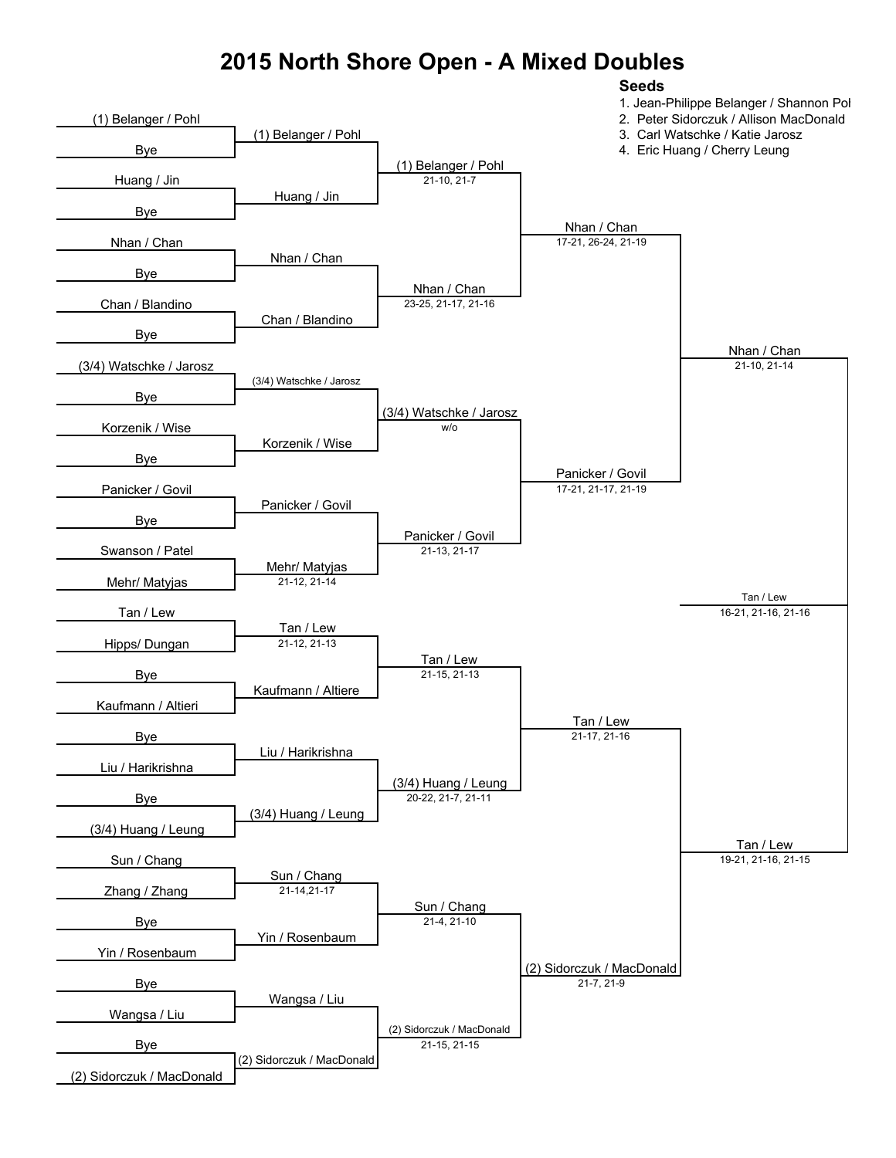#### **2015 North Shore Open - A Mixed Doubles**

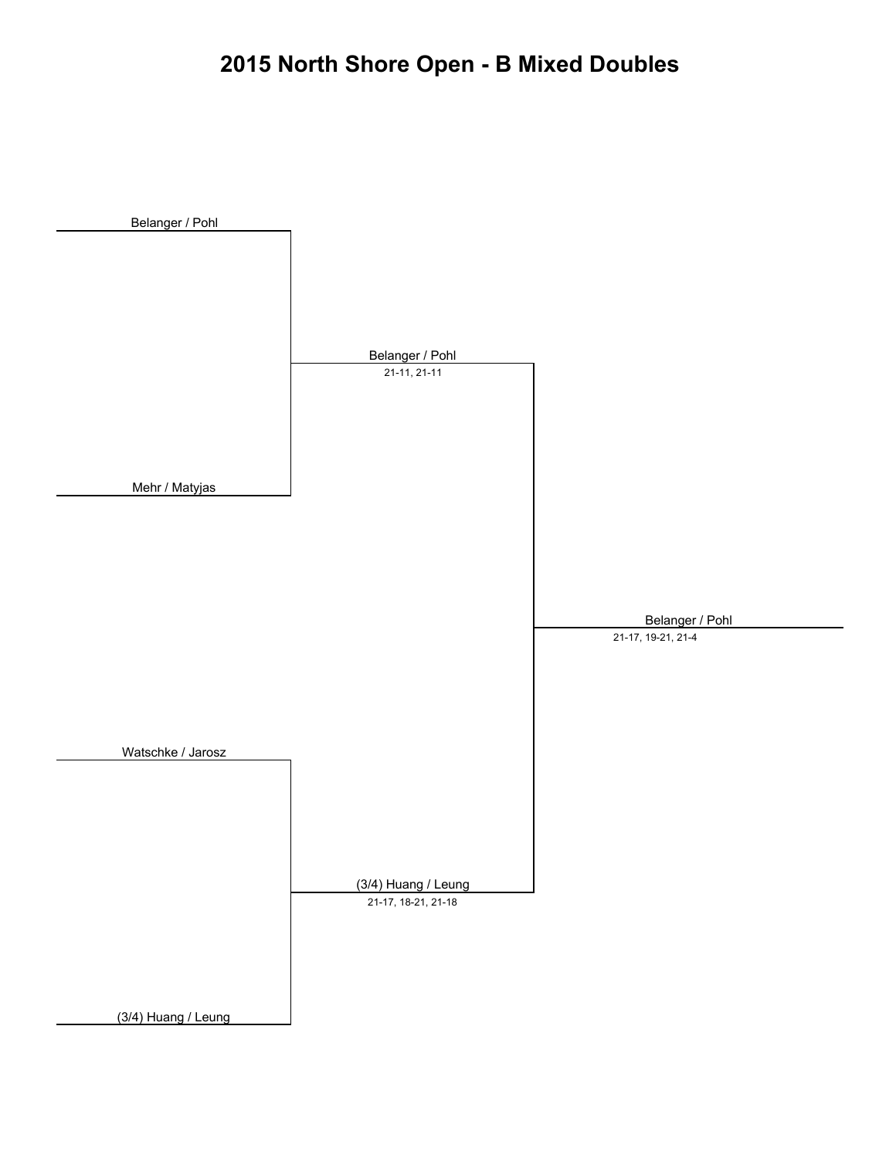#### **2015 North Shore Open - B Mixed Doubles**

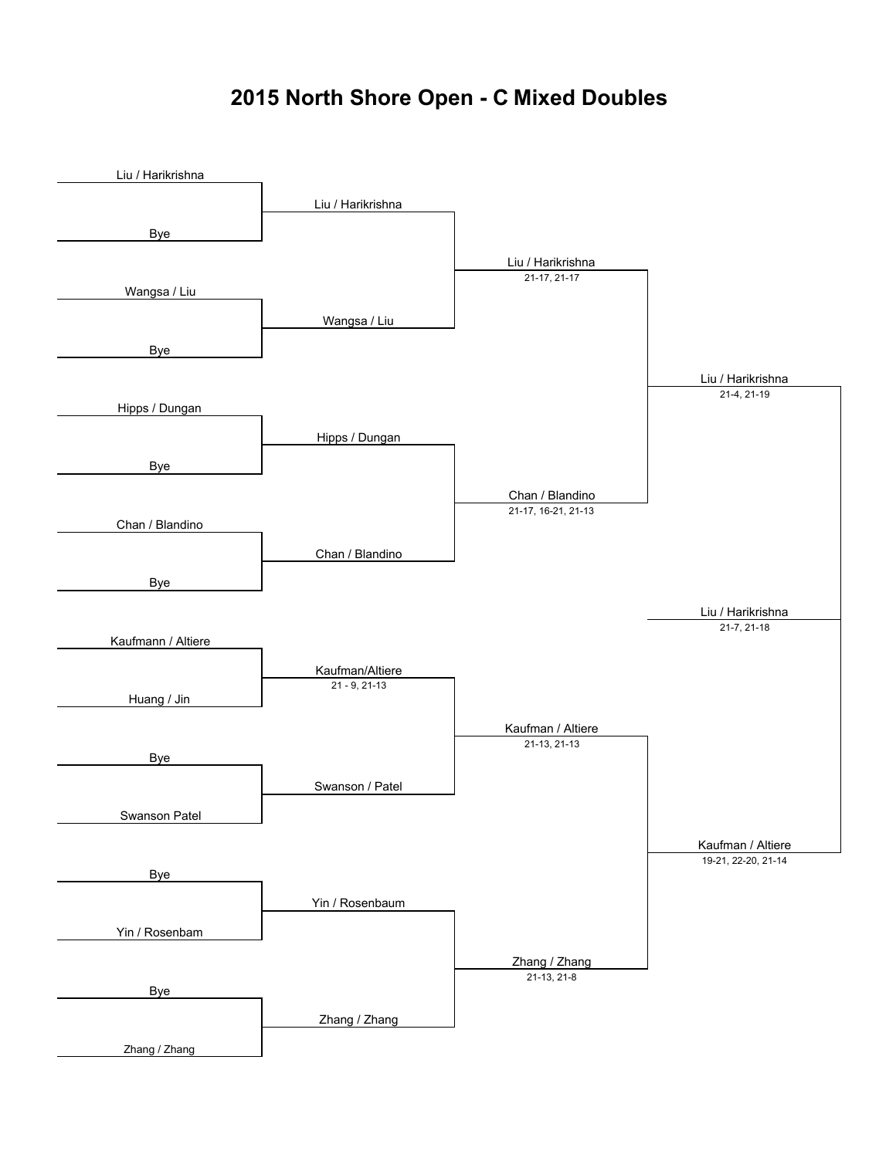# **2015 North Shore Open - C Mixed Doubles**